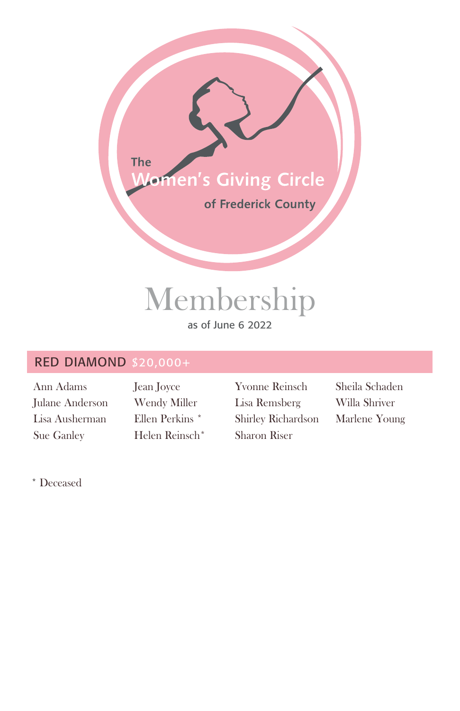

# Membership

## as of June 6 2022

## RED DIAMOND \$20,000+

Ann Adams Julane Anderson Lisa Ausherman Sue Ganley

Jean Joyce Wendy Miller Ellen Perkins \* Helen Reinsch\* Yvonne Reinsch Lisa Remsberg Shirley Richardson Sharon Riser

Sheila Schaden Willa Shriver Marlene Young

\* Deceased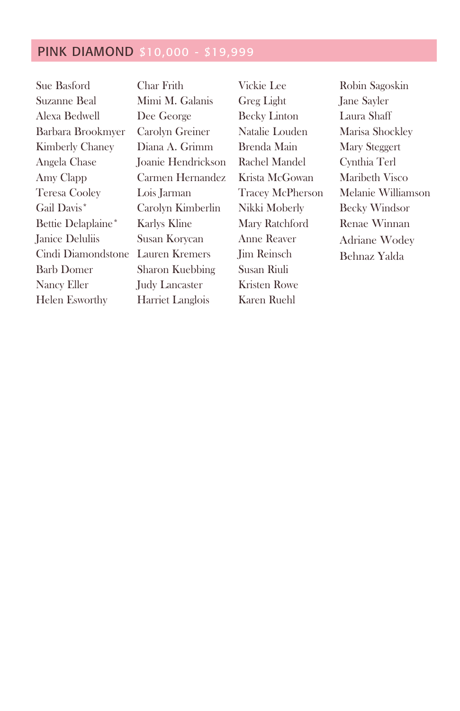## PINK DIAMOND \$10,000 - \$19,999

| Sue Basford            | Cha  |
|------------------------|------|
| Suzanne Beal           | Min  |
| Alexa Bedwell          | Dee  |
| Barbara Brookmyer      | Car  |
| <b>Kimberly Chaney</b> | Dia  |
| Angela Chase           | Joar |
| Amy Clapp              | Cari |
| <b>Teresa Cooley</b>   | Lois |
| Gail Davis*            | Car  |
| Bettie Delaplaine*     | Karl |
| Janice Deluliis        | Susa |
| Cindi Diamondstone     | Lau  |
| <b>Barb Domer</b>      | Shar |
| Nancy Eller            | Judy |
| <b>Helen Esworthy</b>  | Har  |

r Frith ni M. Galanis George olyn Greiner na A. Grimm nie Hendrickson men Hernandez **Larman** olyn Kimberlin lys Kline an Korycan ren Kremers ron Kuebbing v Lancaster riet Langlois

Vickie Lee Greg Light Becky Linton Natalie Louden Brenda Main Rachel Mandel Krista McGowan Tracey McPherson Nikki Moberly Mary Ratchford Anne Reaver Jim Reinsch Susan Riuli Kristen Rowe Karen Ruehl

Robin Sagoskin Jane Sayler Laura Shaff Marisa Shockley Mary Steggert Cynthia Terl Maribeth Visco Melanie Williamson Becky Windsor Renae Winnan Adriane Wodey Behnaz Yalda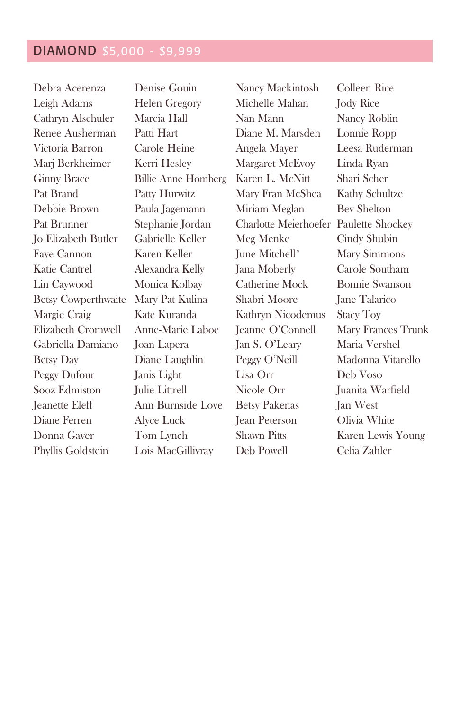# DIAMOND \$5,000 - \$9,999

| Debra Acerenza             | Denise Gouin               | Nancy Mackintosh                       | Colleen Rice         |
|----------------------------|----------------------------|----------------------------------------|----------------------|
| Leigh Adams                | <b>Helen Gregory</b>       | Michelle Mahan                         | <b>Jody Rice</b>     |
| Cathryn Alschuler          | Marcia Hall                | Nan Mann                               | Nancy Roblin         |
| Renee Ausherman            | Patti Hart                 | Diane M. Marsden                       | Lonnie Ropp          |
| Victoria Barron            | Carole Heine               | Angela Mayer                           | Leesa Ruderman       |
| Marj Berkheimer            | Kerri Hesley               | Margaret McEvoy                        | Linda Ryan           |
| <b>Ginny Brace</b>         | <b>Billie Anne Homberg</b> | Karen L. McNitt                        | Shari Scher          |
| Pat Brand                  | Patty Hurwitz              | Mary Fran McShea                       | Kathy Schultze       |
| Debbie Brown               | Paula Jagemann             | Miriam Meglan                          | <b>Bev Shelton</b>   |
| Pat Brunner                | Stephanie Jordan           | Charlotte Meierhoefer Paulette Shockey |                      |
| Jo Elizabeth Butler        | Gabrielle Keller           | Meg Menke                              | Cindy Shubin         |
| Faye Cannon                | Karen Keller               | June Mitchell*                         | Mary Simmons         |
| Katie Cantrel              | Alexandra Kelly            | Jana Moberly                           | Carole Southam       |
| Lin Caywood                | Monica Kolbay              | Catherine Mock                         | Bonnie Swanson       |
| <b>Betsy Cowperthwaite</b> | Mary Pat Kulina            | Shabri Moore                           | <b>Jane Talarico</b> |
| Margie Craig               | Kate Kuranda               | Kathryn Nicodemus                      | <b>Stacy Toy</b>     |
| Elizabeth Cromwell         | Anne-Marie Laboe           | Jeanne O'Connell                       | Mary Frances Trunk   |
| Gabriella Damiano          | Joan Lapera                | Jan S. O'Leary                         | Maria Vershel        |
| <b>Betsy Day</b>           | Diane Laughlin             | Peggy O'Neill                          | Madonna Vitarello    |
| Peggy Dufour               | Janis Light                | Lisa Orr                               | Deb Voso             |
| Sooz Edmiston              | Julie Littrell             | Nicole Orr                             | Juanita Warfield     |
| Jeanette Eleff             | Ann Burnside Love          | <b>Betsy Pakenas</b>                   | Jan West             |
| Diane Ferren               | Alyce Luck                 | Jean Peterson                          | Olivia White         |
| Donna Gaver                | Tom Lynch                  | <b>Shawn Pitts</b>                     | Karen Lewis Young    |
| Phyllis Goldstein          | Lois MacGillivray          | Deb Powell                             | Celia Zahler         |
|                            |                            |                                        |                      |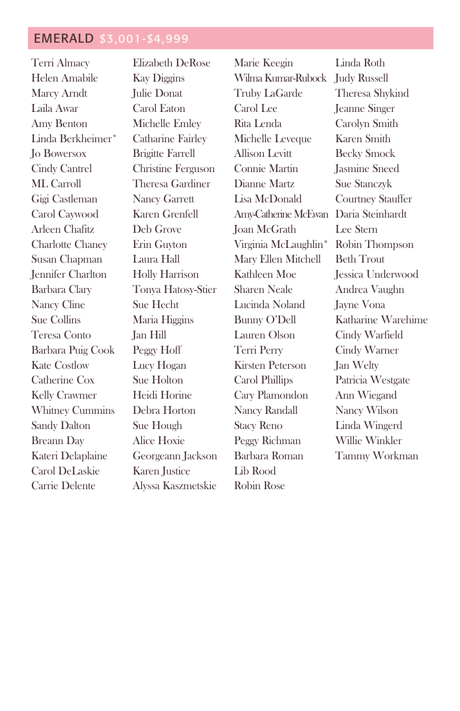## EMERALD \$3,001-\$4,999

Terri Almacy Helen Amabile Marcy Arndt Laila Awar Amy Benton Linda Berkheimer\* Jo Bowersox Cindy Cantrel ML Carroll Gigi Castleman Carol Caywood Arleen Chafitz Charlotte Chaney Susan Chapman Jennifer Charlton Barbara Clary Nancy Cline Sue Collins Teresa Conto Barbara Puig Cook Kate Costlow Catherine Cox Kelly Crawmer Whitney Cummins Sandy Dalton Breann Day Kateri Delaplaine Carol DeLaskie Carrie Delente

Elizabeth DeRose Kay Diggins Julie Donat Carol Eaton Michelle Emley Catharine Fairley Brigitte Farrell Christine Ferguson Theresa Gardiner Nancy Garrett Karen Grenfell Deb Grove Erin Guyton Laura Hall Holly Harrison Tonya Hatosy-Stier Sue Hecht Maria Higgins Jan Hill Peggy Hoff Lucy Hogan Sue Holton Heidi Horine Debra Horton Sue Hough Alice Hoxie Georgeann Jackson Karen Justice Alyssa Kaszmetskie

Marie Keegin Wilma Kumar-Rubock Judy Russell Truby LaGarde Carol Lee Rita Lenda Michelle Leveque Allison Levitt Connie Martin Dianne Martz Lisa McDonald Amy-Catherine McEwan Daria Steinhardt Joan McGrath Virginia McLaughlin\* Mary Ellen Mitchell Kathleen Moe Sharen Neale Lucinda Noland Bunny O'Dell Lauren Olson Terri Perry Kirsten Peterson Carol Phillips Cary Plamondon Nancy Randall Stacy Reno Peggy Richman Barbara Roman Lib Rood Robin Rose

Linda Roth Theresa Shykind Jeanne Singer Carolyn Smith Karen Smith Becky Smock Jasmine Sneed Sue Stanczyk Courtney Stauffer Lee Stern Robin Thompson Beth Trout Jessica Underwood Andrea Vaughn Jayne Vona Katharine Warehime Cindy Warfield Cindy Warner Jan Welty Patricia Westgate Ann Wiegand Nancy Wilson Linda Wingerd Willie Winkler Tammy Workman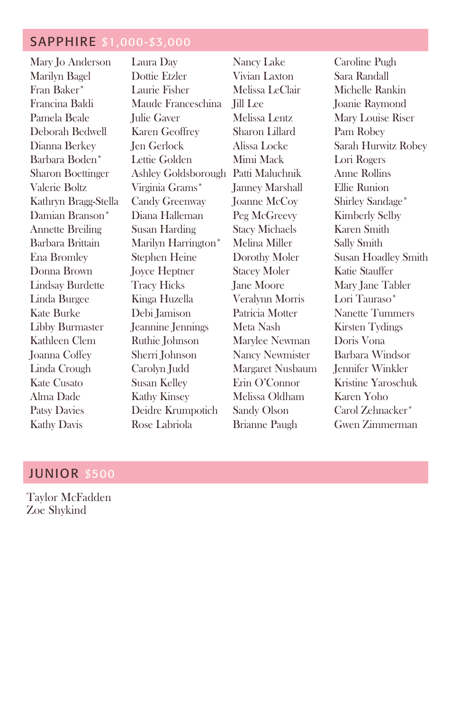### SAPPHIRE \$1,000-\$3,000

Mary Jo Anderson Marilyn Bagel Fran Baker\* Francina Baldi Pamela Beale Deborah Bedwell Dianna Berkey Barbara Boden\* Sharon Boettinger Valerie Boltz Kathryn Bragg-Stella Damian Branson\* Annette Breiling Barbara Brittain Ena Bromley Donna Brown Lindsay Burdette Linda Burgee Kate Burke Libby Burmaster Kathleen Clem Joanna Coffey Linda Crough Kate Cusato Alma Dade Patsy Davies Kathy Davis

Laura Day Dottie Etzler Laurie Fisher Maude Franceschina Julie Gaver Karen Geoffrey Jen Gerlock Lettie Golden Ashley Goldsborough Patti Maluchnik Virginia Grams\* Candy Greenway Diana Halleman Susan Harding Marilyn Harrington\* Stephen Heine Joyce Heptner Tracy Hicks Kinga Huzella Debi Jamison Jeannine Jennings Ruthie Johnson Sherri Johnson Carolyn Judd Susan Kelley Kathy Kinsey Deidre Krumpotich Rose Labriola

Nancy Lake Vivian Laxton Melissa LeClair Jill Lee Melissa Lentz Sharon Lillard Alissa Locke Mimi Mack Janney Marshall Joanne McCoy Peg McGreevy Stacy Michaels Melina Miller Dorothy Moler Stacey Moler Jane Moore Veralynn Morris Patricia Motter Meta Nash Marylee Newman Nancy Newmister Margaret Nusbaum Erin O'Connor Melissa Oldham Sandy Olson Brianne Paugh

Caroline Pugh Sara Randall Michelle Rankin Joanie Raymond Mary Louise Riser Pam Robey Sarah Hurwitz Robey Lori Rogers Anne Rollins Ellie Runion Shirley Sandage\* Kimberly Selby Karen Smith Sally Smith Susan Hoadley Smith Katie Stauffer Mary Jane Tabler Lori Tauraso\* Nanette Tummers Kirsten Tydings Doris Vona Barbara Windsor Jennifer Winkler Kristine Yaroschuk Karen Yoho Carol Zehnacker\* Gwen Zimmerman

#### JUNIOR \$500

Taylor McFadden Zoe Shykind